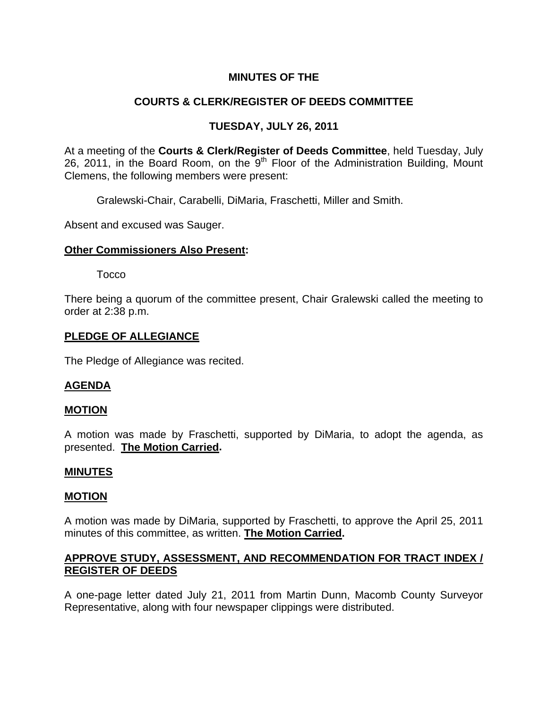## **MINUTES OF THE**

## **COURTS & CLERK/REGISTER OF DEEDS COMMITTEE**

## **TUESDAY, JULY 26, 2011**

At a meeting of the **Courts & Clerk/Register of Deeds Committee**, held Tuesday, July 26, 2011, in the Board Room, on the 9<sup>th</sup> Floor of the Administration Building, Mount Clemens, the following members were present:

Gralewski-Chair, Carabelli, DiMaria, Fraschetti, Miller and Smith.

Absent and excused was Sauger.

### **Other Commissioners Also Present:**

Tocco

There being a quorum of the committee present, Chair Gralewski called the meeting to order at 2:38 p.m.

#### **PLEDGE OF ALLEGIANCE**

The Pledge of Allegiance was recited.

## **AGENDA**

#### **MOTION**

A motion was made by Fraschetti, supported by DiMaria, to adopt the agenda, as presented. **The Motion Carried.** 

#### **MINUTES**

#### **MOTION**

A motion was made by DiMaria, supported by Fraschetti, to approve the April 25, 2011 minutes of this committee, as written. **The Motion Carried.** 

## **APPROVE STUDY, ASSESSMENT, AND RECOMMENDATION FOR TRACT INDEX / REGISTER OF DEEDS**

A one-page letter dated July 21, 2011 from Martin Dunn, Macomb County Surveyor Representative, along with four newspaper clippings were distributed.